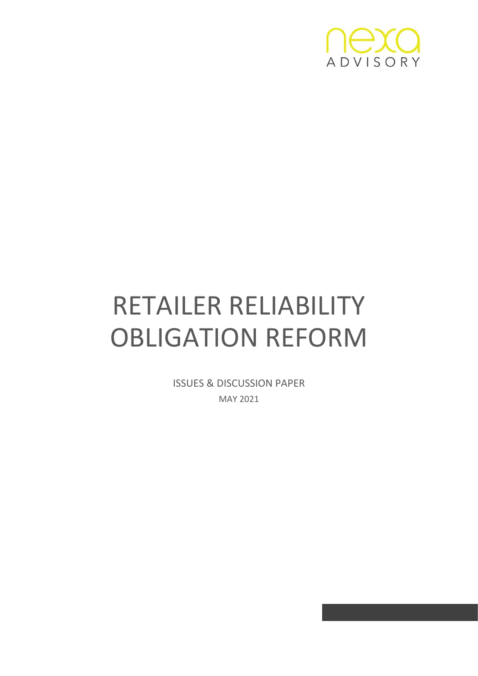

# RETAILER RELIABILITY OBLIGATION REFORM

ISSUES & DISCUSSION PAPER MAY 2021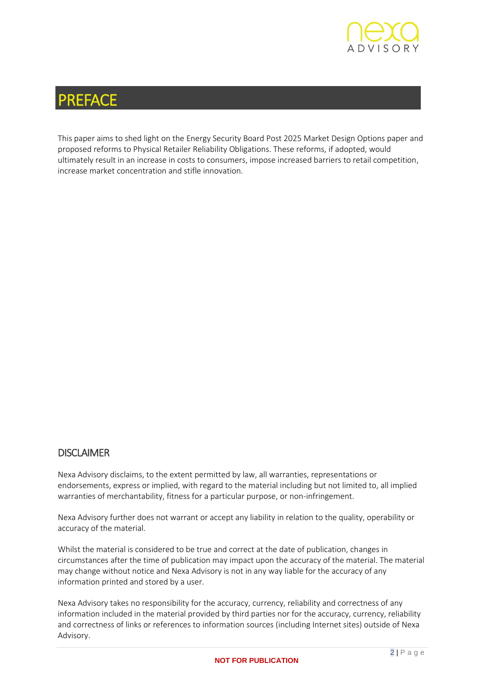

## PREFACE

This paper aims to shed light on the Energy Security Board Post 2025 Market Design Options paper and proposed reforms to Physical Retailer Reliability Obligations. These reforms, if adopted, would ultimately result in an increase in costs to consumers, impose increased barriers to retail competition, increase market concentration and stifle innovation.

#### **DISCLAIMER**

Nexa Advisory disclaims, to the extent permitted by law, all warranties, representations or endorsements, express or implied, with regard to the material including but not limited to, all implied warranties of merchantability, fitness for a particular purpose, or non-infringement.

Nexa Advisory further does not warrant or accept any liability in relation to the quality, operability or accuracy of the material.

Whilst the material is considered to be true and correct at the date of publication, changes in circumstances after the time of publication may impact upon the accuracy of the material. The material may change without notice and Nexa Advisory is not in any way liable for the accuracy of any information printed and stored by a user.

Nexa Advisory takes no responsibility for the accuracy, currency, reliability and correctness of any information included in the material provided by third parties nor for the accuracy, currency, reliability and correctness of links or references to information sources (including Internet sites) outside of Nexa Advisory.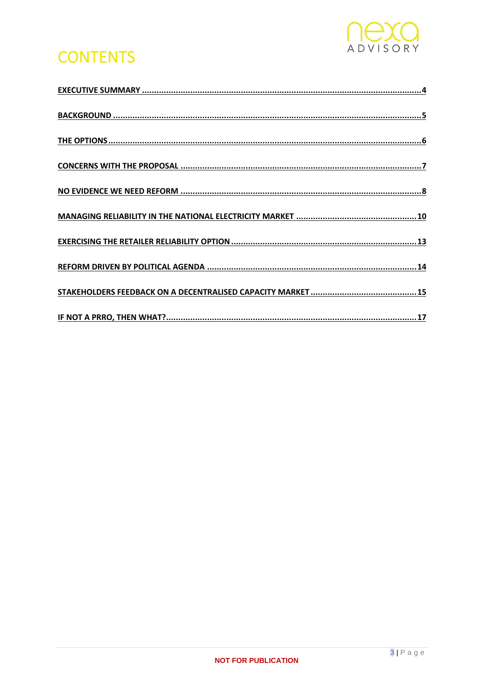

## **CONTENTS**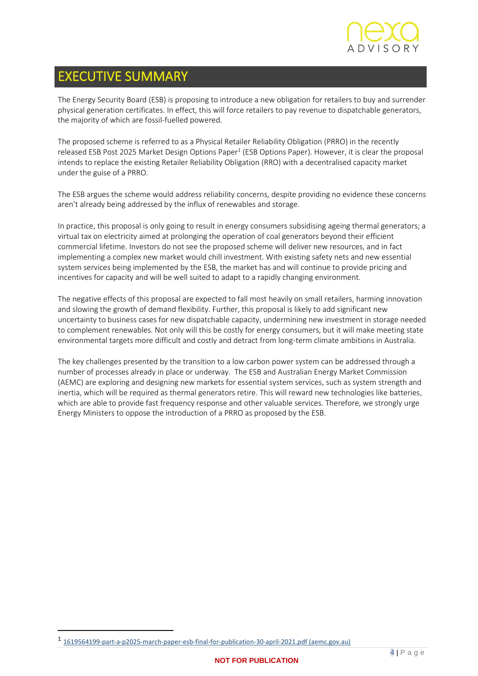

## <span id="page-3-0"></span>EXECUTIVE SUMMARY

The Energy Security Board (ESB) is proposing to introduce a new obligation for retailers to buy and surrender physical generation certificates. In effect, this will force retailers to pay revenue to dispatchable generators, the majority of which are fossil-fuelled powered.

The proposed scheme is referred to as a Physical Retailer Reliability Obligation (PRRO) in the recently released ESB Post 2025 Market Design Options Paper<sup>1</sup> (ESB Options Paper). However, it is clear the proposal intends to replace the existing Retailer Reliability Obligation (RRO) with a decentralised capacity market under the guise of a PRRO.

The ESB argues the scheme would address reliability concerns, despite providing no evidence these concerns aren't already being addressed by the influx of renewables and storage.

In practice, this proposal is only going to result in energy consumers subsidising ageing thermal generators; a virtual tax on electricity aimed at prolonging the operation of coal generators beyond their efficient commercial lifetime. Investors do not see the proposed scheme will deliver new resources, and in fact implementing a complex new market would chill investment. With existing safety nets and new essential system services being implemented by the ESB, the market has and will continue to provide pricing and incentives for capacity and will be well suited to adapt to a rapidly changing environment.

The negative effects of this proposal are expected to fall most heavily on small retailers, harming innovation and slowing the growth of demand flexibility. Further, this proposal is likely to add significant new uncertainty to business cases for new dispatchable capacity, undermining new investment in storage needed to complement renewables. Not only will this be costly for energy consumers, but it will make meeting state environmental targets more difficult and costly and detract from long-term climate ambitions in Australia.

The key challenges presented by the transition to a low carbon power system can be addressed through a number of processes already in place or underway. The ESB and Australian Energy Market Commission (AEMC) are exploring and designing new markets for essential system services, such as system strength and inertia, which will be required as thermal generators retire. This will reward new technologies like batteries, which are able to provide fast frequency response and other valuable services. Therefore, we strongly urge Energy Ministers to oppose the introduction of a PRRO as proposed by the ESB.

<sup>1</sup> [1619564199-part-a-p2025-march-paper-esb-final-for-publication-30-april-2021.pdf \(aemc.gov.au\)](https://esb-post2025-market-design.aemc.gov.au/32572/1619564199-part-a-p2025-march-paper-esb-final-for-publication-30-april-2021.pdf)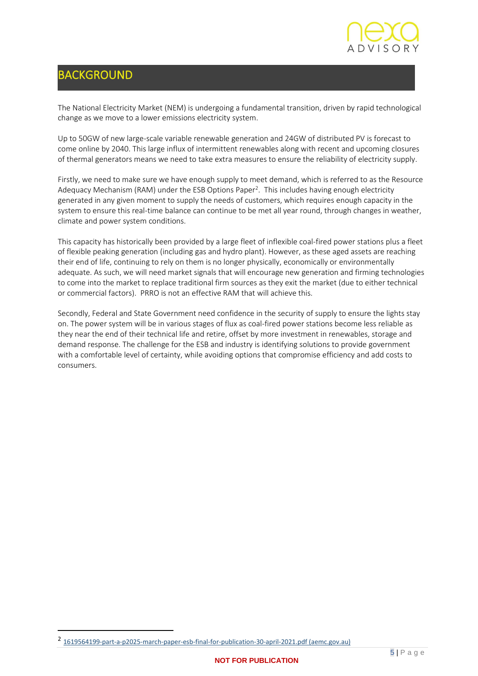

## <span id="page-4-0"></span>BACKGROUND

The National Electricity Market (NEM) is undergoing a fundamental transition, driven by rapid technological change as we move to a lower emissions electricity system.

Up to 50GW of new large-scale variable renewable generation and 24GW of distributed PV is forecast to come online by 2040. This large influx of intermittent renewables along with recent and upcoming closures of thermal generators means we need to take extra measures to ensure the reliability of electricity supply.

Firstly, we need to make sure we have enough supply to meet demand, which is referred to as the Resource Adequacy Mechanism (RAM) under the ESB Options Paper<sup>2</sup>. This includes having enough electricity generated in any given moment to supply the needs of customers, which requires enough capacity in the system to ensure this real-time balance can continue to be met all year round, through changes in weather, climate and power system conditions.

This capacity has historically been provided by a large fleet of inflexible coal-fired power stations plus a fleet of flexible peaking generation (including gas and hydro plant). However, as these aged assets are reaching their end of life, continuing to rely on them is no longer physically, economically or environmentally adequate. As such, we will need market signals that will encourage new generation and firming technologies to come into the market to replace traditional firm sources as they exit the market (due to either technical or commercial factors). PRRO is not an effective RAM that will achieve this.

Secondly, Federal and State Government need confidence in the security of supply to ensure the lights stay on. The power system will be in various stages of flux as coal-fired power stations become less reliable as they near the end of their technical life and retire, offset by more investment in renewables, storage and demand response. The challenge for the ESB and industry is identifying solutions to provide government with a comfortable level of certainty, while avoiding options that compromise efficiency and add costs to consumers.

<sup>2</sup> [1619564199-part-a-p2025-march-paper-esb-final-for-publication-30-april-2021.pdf \(aemc.gov.au\)](https://esb-post2025-market-design.aemc.gov.au/32572/1619564199-part-a-p2025-march-paper-esb-final-for-publication-30-april-2021.pdf)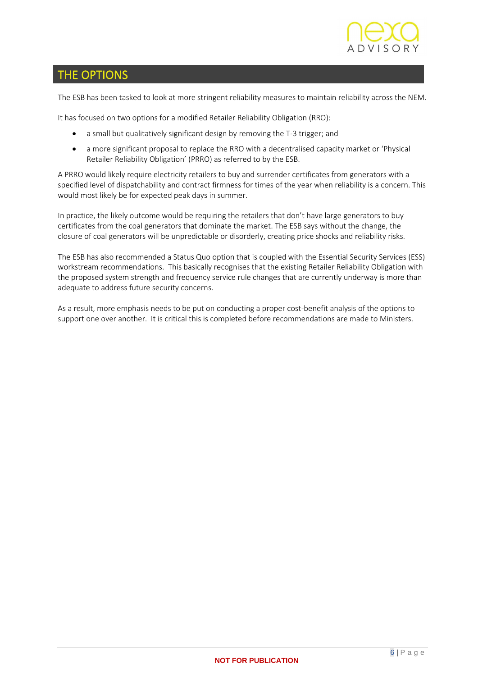

### <span id="page-5-0"></span>THE OPTIONS

The ESB has been tasked to look at more stringent reliability measures to maintain reliability across the NEM.

It has focused on two options for a modified Retailer Reliability Obligation (RRO):

- a small but qualitatively significant design by removing the T-3 trigger; and
- a more significant proposal to replace the RRO with a decentralised capacity market or 'Physical Retailer Reliability Obligation' (PRRO) as referred to by the ESB.

A PRRO would likely require electricity retailers to buy and surrender certificates from generators with a specified level of dispatchability and contract firmness for times of the year when reliability is a concern. This would most likely be for expected peak days in summer.

In practice, the likely outcome would be requiring the retailers that don't have large generators to buy certificates from the coal generators that dominate the market. The ESB says without the change, the closure of coal generators will be unpredictable or disorderly, creating price shocks and reliability risks.

The ESB has also recommended a Status Quo option that is coupled with the Essential Security Services (ESS) workstream recommendations. This basically recognises that the existing Retailer Reliability Obligation with the proposed system strength and frequency service rule changes that are currently underway is more than adequate to address future security concerns.

As a result, more emphasis needs to be put on conducting a proper cost-benefit analysis of the options to support one over another. It is critical this is completed before recommendations are made to Ministers.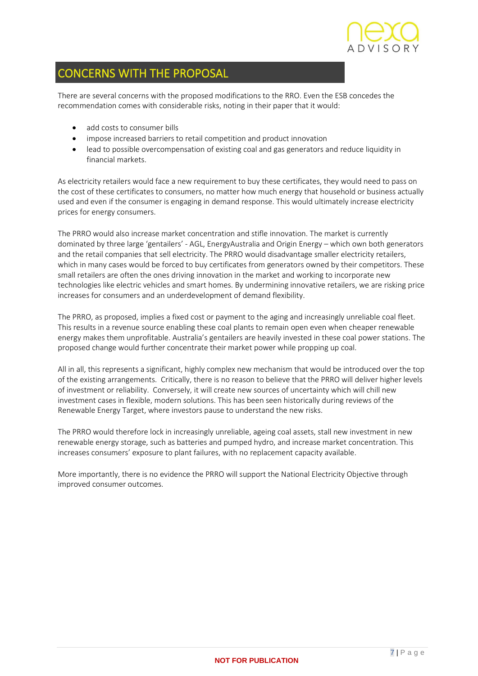

## <span id="page-6-0"></span>CONCERNS WITH THE PROPOSAL

There are several concerns with the proposed modifications to the RRO. Even the ESB concedes the recommendation comes with considerable risks, noting in their paper that it would:

- add costs to consumer bills
- impose increased barriers to retail competition and product innovation
- lead to possible overcompensation of existing coal and gas generators and reduce liquidity in financial markets.

As electricity retailers would face a new requirement to buy these certificates, they would need to pass on the cost of these certificates to consumers, no matter how much energy that household or business actually used and even if the consumer is engaging in demand response. This would ultimately increase electricity prices for energy consumers.

The PRRO would also increase market concentration and stifle innovation. The market is currently dominated by three large 'gentailers' - AGL, EnergyAustralia and Origin Energy – which own both generators and the retail companies that sell electricity. The PRRO would disadvantage smaller electricity retailers, which in many cases would be forced to buy certificates from generators owned by their competitors. These small retailers are often the ones driving innovation in the market and working to incorporate new technologies like electric vehicles and smart homes. By undermining innovative retailers, we are risking price increases for consumers and an underdevelopment of demand flexibility.

The PRRO, as proposed, implies a fixed cost or payment to the aging and increasingly unreliable coal fleet. This results in a revenue source enabling these coal plants to remain open even when cheaper renewable energy makes them unprofitable. Australia's gentailers are heavily invested in these coal power stations. The proposed change would further concentrate their market power while propping up coal.

All in all, this represents a significant, highly complex new mechanism that would be introduced over the top of the existing arrangements. Critically, there is no reason to believe that the PRRO will deliver higher levels of investment or reliability. Conversely, it will create new sources of uncertainty which will chill new investment cases in flexible, modern solutions. This has been seen historically during reviews of the Renewable Energy Target, where investors pause to understand the new risks.

The PRRO would therefore lock in increasingly unreliable, ageing coal assets, stall new investment in new renewable energy storage, such as batteries and pumped hydro, and increase market concentration. This increases consumers' exposure to plant failures, with no replacement capacity available.

More importantly, there is no evidence the PRRO will support the National Electricity Objective through improved consumer outcomes.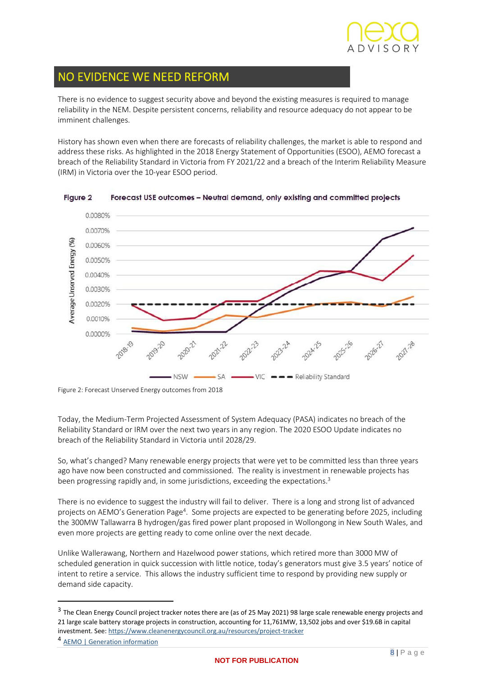

## <span id="page-7-0"></span>NO EVIDENCE WE NEED REFORM

I

There is no evidence to suggest security above and beyond the existing measures is required to manage reliability in the NEM. Despite persistent concerns, reliability and resource adequacy do not appear to be imminent challenges.

History has shown even when there are forecasts of reliability challenges, the market is able to respond and address these risks. As highlighted in the 2018 Energy Statement of Opportunities (ESOO), AEMO forecast a breach of the Reliability Standard in Victoria from FY 2021/22 and a breach of the Interim Reliability Measure (IRM) in Victoria over the 10-year ESOO period.



Figure 2 Forecast USE outcomes - Neutral demand, only existing and committed projects

Today, the Medium-Term Projected Assessment of System Adequacy (PASA) indicates no breach of the Reliability Standard or IRM over the next two years in any region. The 2020 ESOO Update indicates no breach of the Reliability Standard in Victoria until 2028/29.

So, what's changed? Many renewable energy projects that were yet to be committed less than three years ago have now been constructed and commissioned. The reality is investment in renewable projects has been progressing rapidly and, in some jurisdictions, exceeding the expectations.<sup>3</sup>

There is no evidence to suggest the industry will fail to deliver. There is a long and strong list of advanced projects on AEMO's Generation Page<sup>4</sup>. Some projects are expected to be generating before 2025, including the 300MW Tallawarra B hydrogen/gas fired power plant proposed in Wollongong in New South Wales, and even more projects are getting ready to come online over the next decade.

Unlike Wallerawang, Northern and Hazelwood power stations, which retired more than 3000 MW of scheduled generation in quick succession with little notice, today's generators must give 3.5 years' notice of intent to retire a service. This allows the industry sufficient time to respond by providing new supply or demand side capacity.

Figure 2: Forecast Unserved Energy outcomes from 2018

<sup>&</sup>lt;sup>3</sup> The Clean Energy Council project tracker notes there are (as of 25 May 2021) 98 large scale renewable energy projects and 21 large scale battery storage projects in construction, accounting for 11,761MW, 13,502 jobs and over \$19.6B in capital investment. See:<https://www.cleanenergycouncil.org.au/resources/project-tracker>

<sup>4</sup> **AEMO** | Generation information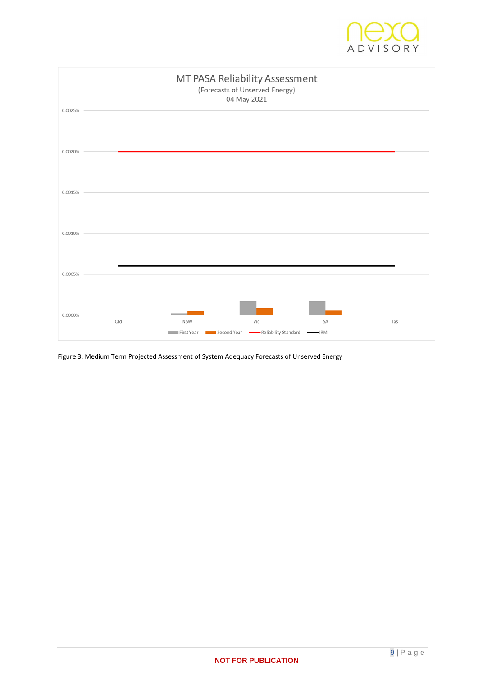



Figure 3: Medium Term Projected Assessment of System Adequacy Forecasts of Unserved Energy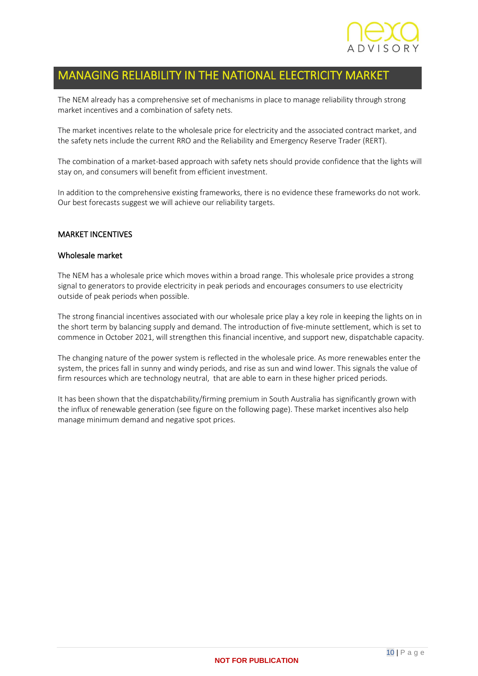

## <span id="page-9-0"></span>MANAGING RELIABILITY IN THE NATIONAL ELECTRICITY MARKET

The NEM already has a comprehensive set of mechanisms in place to manage reliability through strong market incentives and a combination of safety nets.

The market incentives relate to the wholesale price for electricity and the associated contract market, and the safety nets include the current RRO and the Reliability and Emergency Reserve Trader (RERT).

The combination of a market-based approach with safety nets should provide confidence that the lights will stay on, and consumers will benefit from efficient investment.

In addition to the comprehensive existing frameworks, there is no evidence these frameworks do not work. Our best forecasts suggest we will achieve our reliability targets.

#### MARKET INCENTIVES

#### Wholesale market

The NEM has a wholesale price which moves within a broad range. This wholesale price provides a strong signal to generators to provide electricity in peak periods and encourages consumers to use electricity outside of peak periods when possible.

The strong financial incentives associated with our wholesale price play a key role in keeping the lights on in the short term by balancing supply and demand. The introduction of five-minute settlement, which is set to commence in October 2021, will strengthen this financial incentive, and support new, dispatchable capacity.

The changing nature of the power system is reflected in the wholesale price. As more renewables enter the system, the prices fall in sunny and windy periods, and rise as sun and wind lower. This signals the value of firm resources which are technology neutral, that are able to earn in these higher priced periods.

It has been shown that the dispatchability/firming premium in South Australia has significantly grown with the influx of renewable generation (see figure on the following page). These market incentives also help manage minimum demand and negative spot prices.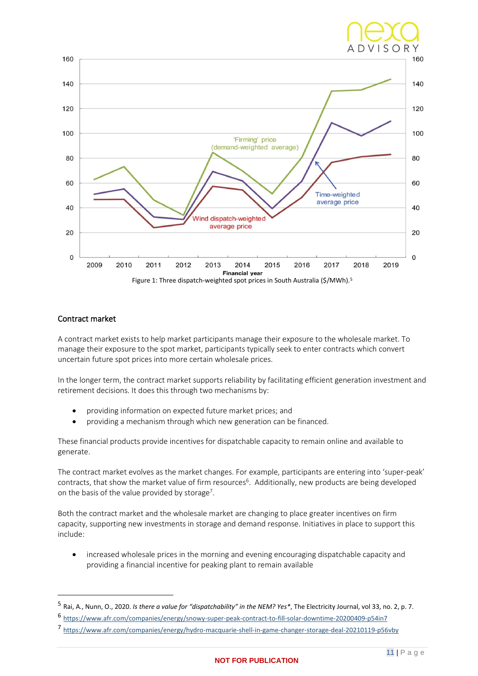

#### Contract market

A contract market exists to help market participants manage their exposure to the wholesale market. To manage their exposure to the spot market, participants typically seek to enter contracts which convert uncertain future spot prices into more certain wholesale prices.

In the longer term, the contract market supports reliability by facilitating efficient generation investment and retirement decisions. It does this through two mechanisms by:

- providing information on expected future market prices; and
- providing a mechanism through which new generation can be financed.

These financial products provide incentives for dispatchable capacity to remain online and available to generate.

The contract market evolves as the market changes. For example, participants are entering into 'super-peak' contracts, that show the market value of firm resources<sup>6</sup>. Additionally, new products are being developed on the basis of the value provided by storage<sup>7</sup>.

Both the contract market and the wholesale market are changing to place greater incentives on firm capacity, supporting new investments in storage and demand response. Initiatives in place to support this include:

• increased wholesale prices in the morning and evening encouraging dispatchable capacity and providing a financial incentive for peaking plant to remain available

<sup>5</sup> Rai, A., Nunn, O., 2020. *Is there a value for "dispatchability" in the NEM? Yes\**, The Electricity Journal, vol 33, no. 2, p. 7.

<sup>6</sup> <https://www.afr.com/companies/energy/snowy-super-peak-contract-to-fill-solar-downtime-20200409-p54in7>

<sup>7</sup> <https://www.afr.com/companies/energy/hydro-macquarie-shell-in-game-changer-storage-deal-20210119-p56vby>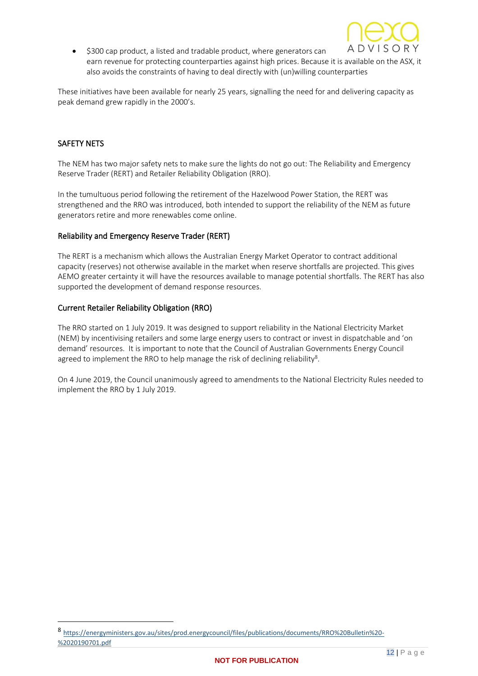

\$300 cap product, a listed and tradable product, where generators can earn revenue for protecting counterparties against high prices. Because it is available on the ASX, it also avoids the constraints of having to deal directly with (un)willing counterparties

These initiatives have been available for nearly 25 years, signalling the need for and delivering capacity as peak demand grew rapidly in the 2000's.

#### SAFETY NETS

The NEM has two major safety nets to make sure the lights do not go out: The Reliability and Emergency Reserve Trader (RERT) and Retailer Reliability Obligation (RRO).

In the tumultuous period following the retirement of the Hazelwood Power Station, the RERT was strengthened and the RRO was introduced, both intended to support the reliability of the NEM as future generators retire and more renewables come online.

#### Reliability and Emergency Reserve Trader (RERT)

The RERT is a mechanism which allows the Australian Energy Market Operator to contract additional capacity (reserves) not otherwise available in the market when reserve shortfalls are projected. This gives AEMO greater certainty it will have the resources available to manage potential shortfalls. The RERT has also supported the development of demand response resources.

#### Current Retailer Reliability Obligation (RRO)

The RRO started on 1 July 2019. It was designed to support reliability in the National Electricity Market (NEM) by incentivising retailers and some large energy users to contract or invest in dispatchable and 'on demand' resources. It is important to note that the Council of Australian Governments Energy Council agreed to implement the RRO to help manage the risk of declining reliability<sup>8</sup>.

On 4 June 2019, the Council unanimously agreed to amendments to the National Electricity Rules needed to implement the RRO by 1 July 2019.

<sup>8</sup> [https://energyministers.gov.au/sites/prod.energycouncil/files/publications/documents/RRO%20Bulletin%20-](https://energyministers.gov.au/sites/prod.energycouncil/files/publications/documents/RRO%20Bulletin%20-%2020190701.pdf) [%2020190701.pdf](https://energyministers.gov.au/sites/prod.energycouncil/files/publications/documents/RRO%20Bulletin%20-%2020190701.pdf)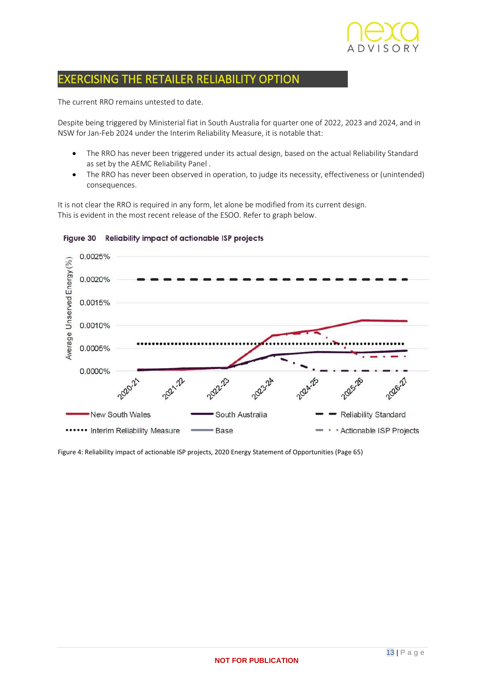

### <span id="page-12-0"></span>EXERCISING THE RETAILER RELIABILITY OPTION

The current RRO remains untested to date.

Despite being triggered by Ministerial fiat in South Australia for quarter one of 2022, 2023 and 2024, and in NSW for Jan-Feb 2024 under the Interim Reliability Measure, it is notable that:

- The RRO has never been triggered under its actual design, based on the actual Reliability Standard as set by the AEMC Reliability Panel .
- The RRO has never been observed in operation, to judge its necessity, effectiveness or (unintended) consequences.

It is not clear the RRO is required in any form, let alone be modified from its current design. This is evident in the most recent release of the ESOO. Refer to graph below.



Figure 30 Reliability impact of actionable ISP projects

Figure 4: Reliability impact of actionable ISP projects, 2020 Energy Statement of Opportunities (Page 65)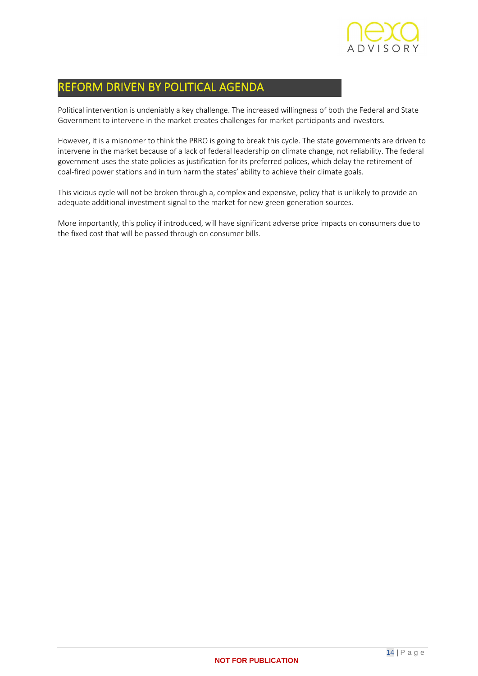

## <span id="page-13-0"></span>REFORM DRIVEN BY POLITICAL AGENDA

Political intervention is undeniably a key challenge. The increased willingness of both the Federal and State Government to intervene in the market creates challenges for market participants and investors.

However, it is a misnomer to think the PRRO is going to break this cycle. The state governments are driven to intervene in the market because of a lack of federal leadership on climate change, not reliability. The federal government uses the state policies as justification for its preferred polices, which delay the retirement of coal-fired power stations and in turn harm the states' ability to achieve their climate goals.

This vicious cycle will not be broken through a, complex and expensive, policy that is unlikely to provide an adequate additional investment signal to the market for new green generation sources.

More importantly, this policy if introduced, will have significant adverse price impacts on consumers due to the fixed cost that will be passed through on consumer bills.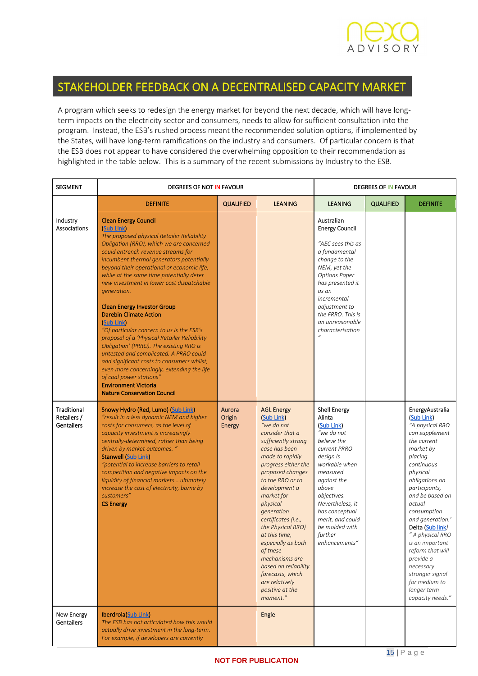

### <span id="page-14-0"></span>STAKEHOLDER FEEDBACK ON A DECENTRALISED CAPACITY MARKET

A program which seeks to redesign the energy market for beyond the next decade, which will have longterm impacts on the electricity sector and consumers, needs to allow for sufficient consultation into the program. Instead, the ESB's rushed process meant the recommended solution options, if implemented by the States, will have long-term ramifications on the industry and consumers. Of particular concern is that the ESB does not appear to have considered the overwhelming opposition to their recommendation as highlighted in the table below. This is a summary of the recent submissions by Industry to the ESB.

| <b>SEGMENT</b>                                         | DEGREES OF NOT IN FAVOUR                                                                                                                                                                                                                                                                                                                                                                                                                                                                                                                                                                                                                                                                                                                                                                                                                       |                                   |                                                                                                                                                                                                                                                                                                                                                                                                                                                                   | <b>DEGREES OF IN FAVOUR</b>                                                                                                                                                                                                                                                       |                  |                                                                                                                                                                                                                                                                                                                                                                                                                        |
|--------------------------------------------------------|------------------------------------------------------------------------------------------------------------------------------------------------------------------------------------------------------------------------------------------------------------------------------------------------------------------------------------------------------------------------------------------------------------------------------------------------------------------------------------------------------------------------------------------------------------------------------------------------------------------------------------------------------------------------------------------------------------------------------------------------------------------------------------------------------------------------------------------------|-----------------------------------|-------------------------------------------------------------------------------------------------------------------------------------------------------------------------------------------------------------------------------------------------------------------------------------------------------------------------------------------------------------------------------------------------------------------------------------------------------------------|-----------------------------------------------------------------------------------------------------------------------------------------------------------------------------------------------------------------------------------------------------------------------------------|------------------|------------------------------------------------------------------------------------------------------------------------------------------------------------------------------------------------------------------------------------------------------------------------------------------------------------------------------------------------------------------------------------------------------------------------|
|                                                        | <b>DEFINITE</b>                                                                                                                                                                                                                                                                                                                                                                                                                                                                                                                                                                                                                                                                                                                                                                                                                                | <b>QUALIFIED</b>                  | <b>LEANING</b>                                                                                                                                                                                                                                                                                                                                                                                                                                                    | <b>LEANING</b>                                                                                                                                                                                                                                                                    | <b>QUALIFIED</b> | <b>DEFINITE</b>                                                                                                                                                                                                                                                                                                                                                                                                        |
| Industry<br><b>Associations</b>                        | <b>Clean Energy Council</b><br>(Sub Link)<br>The proposed physical Retailer Reliability<br>Obligation (RRO), which we are concerned<br>could entrench revenue streams for<br>incumbent thermal generators potentially<br>beyond their operational or economic life,<br>while at the same time potentially deter<br>new investment in lower cost dispatchable<br>generation.<br><b>Clean Energy Investor Group</b><br><b>Darebin Climate Action</b><br>(Sub Link)<br>"Of particular concern to us is the ESB's<br>proposal of a 'Physical Retailer Reliability<br>Obligation' (PRRO). The existing RRO is<br>untested and complicated. A PRRO could<br>add significant costs to consumers whilst,<br>even more concerningly, extending the life<br>of coal power stations"<br><b>Environment Victoria</b><br><b>Nature Conservation Council</b> |                                   |                                                                                                                                                                                                                                                                                                                                                                                                                                                                   | Australian<br><b>Energy Council</b><br>"AEC sees this as<br>a fundamental<br>change to the<br>NEM, yet the<br><b>Options Paper</b><br>has presented it<br>as an<br>incremental<br>adjustment to<br>the FRRO. This is<br>an unreasonable<br>characterisation                       |                  |                                                                                                                                                                                                                                                                                                                                                                                                                        |
| <b>Traditional</b><br>Retailers /<br><b>Gentailers</b> | Snowy Hydro (Red, Lumo) (Sub Link)<br>"result in a less dynamic NEM and higher<br>costs for consumers, as the level of<br>capacity investment is increasingly<br>centrally-determined, rather than being<br>driven by market outcomes. "<br><b>Stanwell (Sub Link)</b><br>"potential to increase barriers to retail<br>competition and negative impacts on the<br>liquidity of financial markets  ultimately<br>increase the cost of electricity, borne by<br>customers"<br><b>CS Energy</b>                                                                                                                                                                                                                                                                                                                                                   | Aurora<br>Origin<br><b>Energy</b> | <b>AGL Energy</b><br>(Sub Link)<br>"we do not<br>consider that a<br>sufficiently strong<br>case has been<br>made to rapidly<br>progress either the<br>proposed changes<br>to the RRO or to<br>development a<br>market for<br>physical<br>generation<br>certificates (i.e.,<br>the Physical RRO)<br>at this time,<br>especially as both<br>of these<br>mechanisms are<br>based on reliability<br>forecasts, which<br>are relatively<br>positive at the<br>moment." | <b>Shell Energy</b><br>Alinta<br>(Sub Link)<br>"we do not<br>believe the<br>current PRRO<br>design is<br>workable when<br>measured<br>against the<br>above<br>objectives.<br>Nevertheless, it<br>has conceptual<br>merit, and could<br>be molded with<br>further<br>enhancements" |                  | EnergyAustralia<br>(Sub Link)<br>"A physical RRO<br>can supplement<br>the current<br>market by<br>placing<br>continuous<br>physical<br>obligations on<br>participants,<br>and be based on<br>actual<br>consumption<br>and generation.'<br>Delta (Sub link)<br>" A physical RRO<br>is an important<br>reform that will<br>provide a<br>necessary<br>stronger signal<br>for medium to<br>longer term<br>capacity needs." |
| <b>New Energy</b><br>Gentailers                        | Iberdrola (Sub Link)<br>The ESB has not articulated how this would<br>actually drive investment in the long-term.<br>For example, if developers are currently                                                                                                                                                                                                                                                                                                                                                                                                                                                                                                                                                                                                                                                                                  |                                   | Engie                                                                                                                                                                                                                                                                                                                                                                                                                                                             |                                                                                                                                                                                                                                                                                   |                  |                                                                                                                                                                                                                                                                                                                                                                                                                        |

#### **NOT FOR PUBLICATION**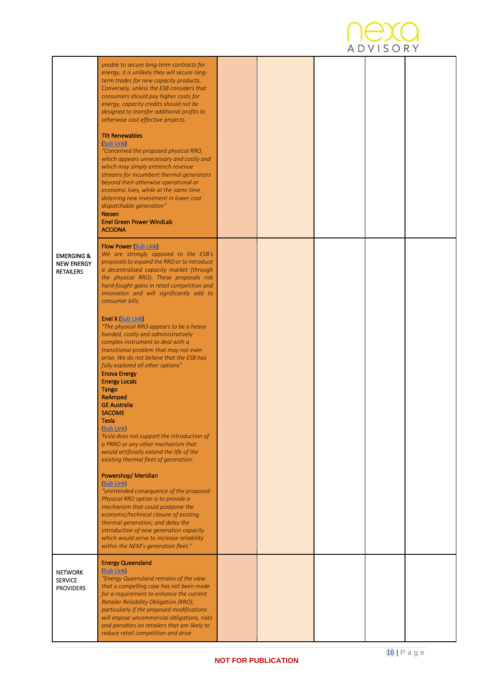

|                                                                | unable to secure long-term contracts for<br>energy, it is unlikely they will secure long-<br>term trades for new capacity products.<br>Conversely, unless the ESB considers that<br>consumers should pay higher costs for<br>energy, capacity credits should not be<br>designed to transfer additional profits to<br>otherwise cost-effective projects.<br><b>Tilt Renewables</b><br>(Sub Link)<br>"Concerned the proposed physical RRO,<br>which appears unnecessary and costly and<br>which may simply entrench revenue<br>streams for incumbent thermal generators<br>beyond their otherwise operational or<br>economic lives, while at the same time<br>deterring new investment in lower cost<br>dispatchable generation"<br><b>Neoen</b><br><b>Enel Green Power WindLab</b><br><b>ACCIONA</b>                                                                                                                                                                                                                                                                            |  |  |  |
|----------------------------------------------------------------|--------------------------------------------------------------------------------------------------------------------------------------------------------------------------------------------------------------------------------------------------------------------------------------------------------------------------------------------------------------------------------------------------------------------------------------------------------------------------------------------------------------------------------------------------------------------------------------------------------------------------------------------------------------------------------------------------------------------------------------------------------------------------------------------------------------------------------------------------------------------------------------------------------------------------------------------------------------------------------------------------------------------------------------------------------------------------------|--|--|--|
| <b>EMERGING &amp;</b><br><b>NEW ENERGY</b><br><b>RETAILERS</b> | <b>Flow Power (Sub Link)</b><br>We are strongly opposed to the ESB's<br>proposals to expand the RRO or to introduce<br>a decentralised capacity market (through<br>the physical RRO). These proposals risk<br>hard-fought gains in retail competition and<br>innovation and will significantly add to<br>consumer bills.<br>Enel X (Sub Link)<br>"The physical RRO appears to be a heavy<br>handed, costly and administratively<br>complex instrument to deal with a<br>transitional problem that may not even<br>arise. We do not believe that the ESB has<br>fully explored all other options"<br><b>Enova Energy</b><br><b>Energy Locals</b><br>Tango<br>ReAmped<br><b>GE Australia</b><br><b>SACOME</b><br><b>Tesla</b><br>(Sub Link)<br>Tesla does not support the introduction of<br>a PRRO or any other mechanism that<br>would artificially extend the life of the<br>existing thermal fleet of generation.<br>Powershop/Meridian<br>(Sub Link)<br>"unintended consequence of the proposed<br>Physical RRO option is to provide a<br>mechanism that could postpone the |  |  |  |
|                                                                | economic/technical closure of existing<br>thermal generation; and delay the<br>introduction of new generation capacity<br>which would serve to increase reliability<br>within the NEM's generation fleet."                                                                                                                                                                                                                                                                                                                                                                                                                                                                                                                                                                                                                                                                                                                                                                                                                                                                     |  |  |  |
| <b>NETWORK</b><br><b>SERVICE</b><br><b>PROVIDERS</b>           | <b>Energy Queensland</b><br>(Sub Link)<br>"Energy Queensland remains of the view<br>that a compelling case has not been made<br>for a requirement to enhance the current<br>Retailer Reliability Obligation (RRO),<br>particularly if the proposed modifications<br>will impose uncommercial obligations, risks<br>and penalties on retailers that are likely to<br>reduce retail competition and drive                                                                                                                                                                                                                                                                                                                                                                                                                                                                                                                                                                                                                                                                        |  |  |  |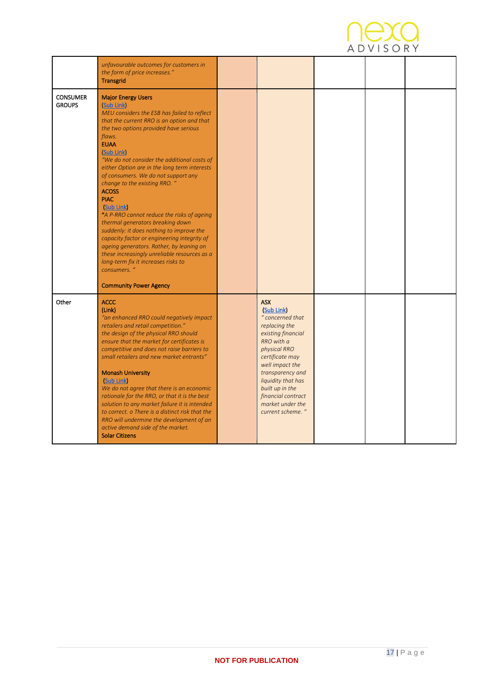

|                                  | unfavourable outcomes for customers in<br>the form of price increases."<br><b>Transgrid</b>                                                                                                                                                                                                                                                                                                                                                                                                                                                                                                                                                                                                                                                                                                               |                                                                                                                                                                                                                                                                                    |  |  |
|----------------------------------|-----------------------------------------------------------------------------------------------------------------------------------------------------------------------------------------------------------------------------------------------------------------------------------------------------------------------------------------------------------------------------------------------------------------------------------------------------------------------------------------------------------------------------------------------------------------------------------------------------------------------------------------------------------------------------------------------------------------------------------------------------------------------------------------------------------|------------------------------------------------------------------------------------------------------------------------------------------------------------------------------------------------------------------------------------------------------------------------------------|--|--|
| <b>CONSUMER</b><br><b>GROUPS</b> | <b>Major Energy Users</b><br>(Sub Link)<br>MEU considers the ESB has failed to reflect<br>that the current RRO is an option and that<br>the two options provided have serious<br>flaws.<br><b>EUAA</b><br>(Sub Link)<br>"We do not consider the additional costs of<br>either Option are in the long term interests<br>of consumers. We do not support any<br>change to the existing RRO. "<br><b>ACOSS</b><br><b>PIAC</b><br>(Sub Link)<br>"A P-RRO cannot reduce the risks of ageing<br>thermal generators breaking down<br>suddenly: it does nothing to improve the<br>capacity factor or engineering integrity of<br>ageing generators. Rather, by leaning on<br>these increasingly unreliable resources as a<br>long-term fix it increases risks to<br>consumers. "<br><b>Community Power Agency</b> |                                                                                                                                                                                                                                                                                    |  |  |
| Other                            | <b>ACCC</b><br>(Link)<br>"an enhanced RRO could negatively impact<br>retailers and retail competition."<br>the design of the physical RRO should<br>ensure that the market for certificates is<br>competitive and does not raise barriers to<br>small retailers and new market entrants"<br><b>Monash University</b><br>(Sub Link)<br>We do not agree that there is an economic<br>rationale for the RRO, or that it is the best<br>solution to any market failure it is intended<br>to correct. o There is a distinct risk that the<br>RRO will undermine the development of an<br>active demand side of the market.<br><b>Solar Citizens</b>                                                                                                                                                            | <b>ASX</b><br>(Sub Link)<br>" concerned that<br>replacing the<br>existing financial<br>RRO with a<br>physical RRO<br>certificate may<br>well impact the<br>transparency and<br>liquidity that has<br>built up in the<br>financial contract<br>market under the<br>current scheme." |  |  |

<span id="page-16-0"></span>ı